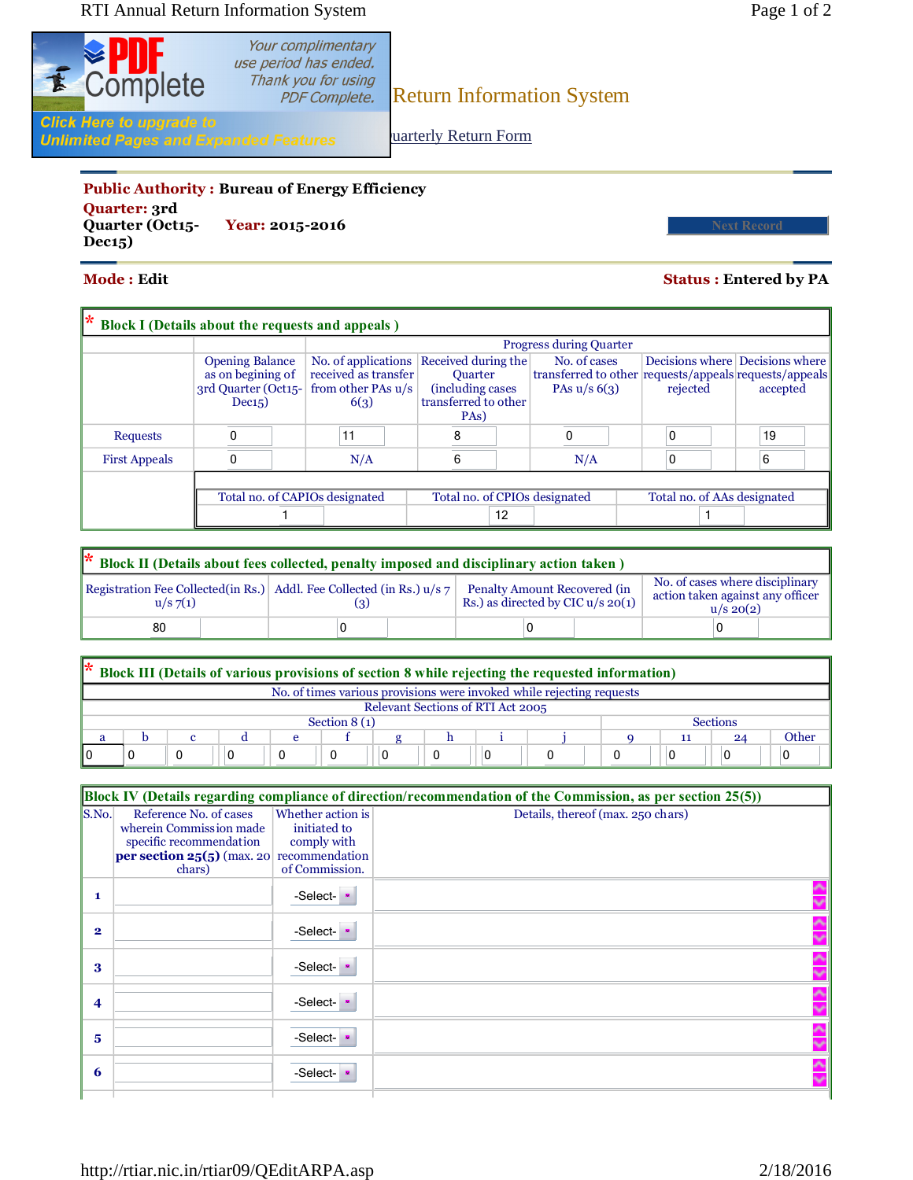

Your complimentary use period has ended.

Thank you for using<br>PDF Complete. Return Information System

**Unlimited Pages and Expanded Features** 

uarterly Return Form

## **Public Authority : Bureau of Energy Efficiency Quarter: 3rd**

**Quarter (Oct15- Year: 2015-2016 Next Record Dec15)**

## **Mode : Edit Status : Entered by PA**

| k<br><b>Block I</b> (Details about the requests and appeals) |                                                                              |                                                                           |                                                                                                         |                                                                                          |                             |                                             |  |  |  |
|--------------------------------------------------------------|------------------------------------------------------------------------------|---------------------------------------------------------------------------|---------------------------------------------------------------------------------------------------------|------------------------------------------------------------------------------------------|-----------------------------|---------------------------------------------|--|--|--|
|                                                              |                                                                              | <b>Progress during Quarter</b>                                            |                                                                                                         |                                                                                          |                             |                                             |  |  |  |
|                                                              | <b>Opening Balance</b><br>as on begining of<br>3rd Quarter (Oct15-<br>Dec15) | No. of applications<br>received as transfer<br>from other PAs u/s<br>6(3) | Received during the<br><b>Ouarter</b><br>(including cases)<br>transferred to other<br>PA <sub>s</sub> ) | No. of cases<br>transferred to other requests/appeals requests/appeals<br>PAs $u/s$ 6(3) | rejected                    | Decisions where Decisions where<br>accepted |  |  |  |
| <b>Requests</b>                                              |                                                                              | 11                                                                        | 8                                                                                                       | $\Omega$                                                                                 |                             | 19                                          |  |  |  |
| <b>First Appeals</b>                                         | 0                                                                            | N/A                                                                       | 6                                                                                                       | N/A                                                                                      |                             | 6                                           |  |  |  |
|                                                              | Total no. of CAPIOs designated                                               |                                                                           | Total no. of CPIOs designated<br>12                                                                     |                                                                                          | Total no. of AAs designated |                                             |  |  |  |

| <sup>*</sup> Block II (Details about fees collected, penalty imposed and disciplinary action taken) |  |                                                                         |  |                                                                     |                                                                                      |  |  |  |
|-----------------------------------------------------------------------------------------------------|--|-------------------------------------------------------------------------|--|---------------------------------------------------------------------|--------------------------------------------------------------------------------------|--|--|--|
| $u/s \, 7(1)$                                                                                       |  | Registration Fee Collected(in Rs.) Addl. Fee Collected (in Rs.) $u/s$ 7 |  | Penalty Amount Recovered (in<br>Rs.) as directed by CIC $u/s$ 20(1) | No. of cases where disciplinary<br>action taken against any officer<br>$u/s \ 20(2)$ |  |  |  |
| 80                                                                                                  |  |                                                                         |  |                                                                     |                                                                                      |  |  |  |

|   | * Block III (Details of various provisions of section 8 while rejecting the requested information) |  |  |  |  |  |  |  |  |  |    |    |       |
|---|----------------------------------------------------------------------------------------------------|--|--|--|--|--|--|--|--|--|----|----|-------|
|   | No. of times various provisions were invoked while rejecting requests                              |  |  |  |  |  |  |  |  |  |    |    |       |
|   | Relevant Sections of RTI Act 2005                                                                  |  |  |  |  |  |  |  |  |  |    |    |       |
|   | Section $8(1)$<br><b>Sections</b>                                                                  |  |  |  |  |  |  |  |  |  |    |    |       |
| a |                                                                                                    |  |  |  |  |  |  |  |  |  | 11 | 24 | Other |
|   |                                                                                                    |  |  |  |  |  |  |  |  |  |    |    |       |

|                    | Block IV (Details regarding compliance of direction/recommendation of the Commission, as per section 25(5))                                |                                                                    |                                   |  |  |  |  |  |
|--------------------|--------------------------------------------------------------------------------------------------------------------------------------------|--------------------------------------------------------------------|-----------------------------------|--|--|--|--|--|
| S.No.              | Reference No. of cases<br>wherein Commission made<br>specific recommendation<br><b>per section 25(5)</b> (max. 20 recommendation<br>chars) | Whether action is<br>initiated to<br>comply with<br>of Commission. | Details, thereof (max. 250 chars) |  |  |  |  |  |
| $\mathbf{1}$       |                                                                                                                                            | -Select-                                                           |                                   |  |  |  |  |  |
| $\mathbf{2}$       |                                                                                                                                            | -Select-                                                           |                                   |  |  |  |  |  |
| 3                  |                                                                                                                                            | -Select-                                                           |                                   |  |  |  |  |  |
| $\overline{\bf 4}$ |                                                                                                                                            | -Select-                                                           |                                   |  |  |  |  |  |
| 5                  |                                                                                                                                            | -Select-                                                           |                                   |  |  |  |  |  |
| 6                  |                                                                                                                                            | -Select-                                                           |                                   |  |  |  |  |  |
|                    |                                                                                                                                            |                                                                    |                                   |  |  |  |  |  |